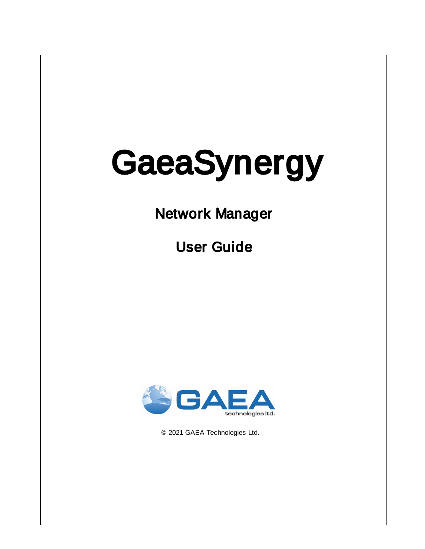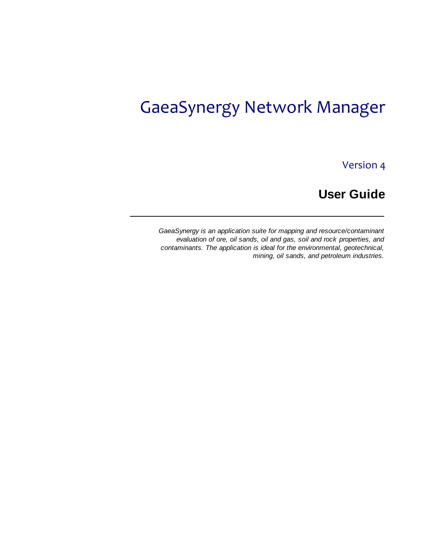# GaeaSynergy Network Manager

Version 4

**User Guide**

*GaeaSynergy is an application suite for mapping and resource/contaminant evaluation of ore, oil sands, oil and gas, soil and rock properties, and contaminants. The application is ideal for the environmental, geotechnical, mining, oil sands, and petroleum industries.*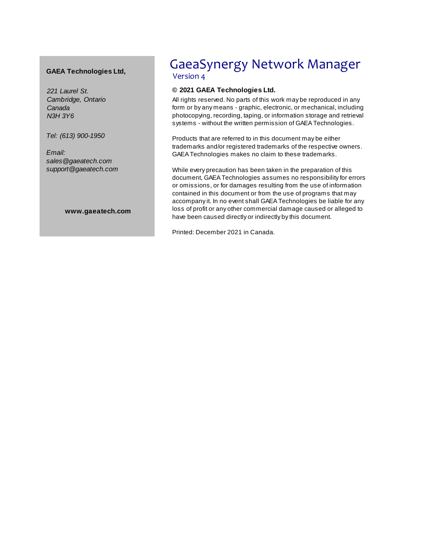#### **GAEA Technologies Ltd,**

*221 Laurel St. Cambridge, Ontario Canada N3H 3Y6*

*Tel: (613) 900-1950*

*Email: sales@gaeatech.com support@gaeatech.com*

**www.gaeatech.com**

## GaeaSynergy Network Manager Version 4

#### **© 2021 GAEA Technologies Ltd.**

All rights reserved. No parts of this work may be reproduced in any form or by any means - graphic, electronic, or mechanical, including photocopying, recording, taping, or information storage and retrieval systems - without the written permission of GAEATechnologies.

Products that are referred to in this document may be either trademarks and/or registered trademarks of the respective owners. GAEATechnologies makes no claim to these trademarks.

While every precaution has been taken in the preparation of this document, GAEATechnologies assumes no responsibility for errors or omissions, or for damages resulting from the use of information contained in this document or from the use of programs that may accompany it. In no event shall GAEATechnologies be liable for any loss of profit or any other commercial damage caused or alleged to have been caused directly or indirectly by this document.

Printed: December 2021 in Canada.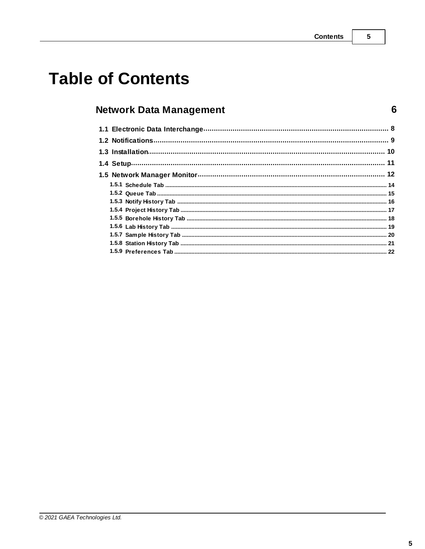$5\overline{)}$ 

 $6\phantom{1}$ 

# **Table of Contents**

## **Network Data Management**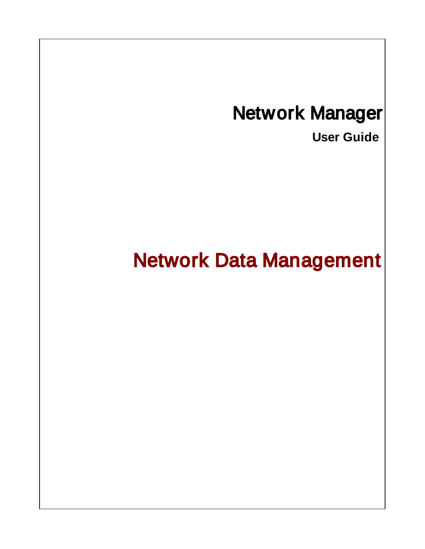# <span id="page-5-0"></span>Network Manager

**User Guide**

# Network Data Management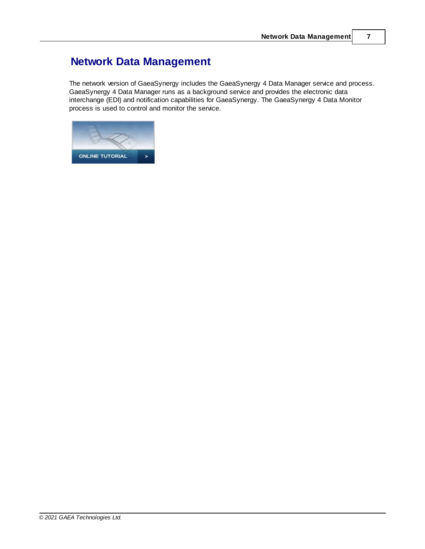## **Network Data Management**

The network version of GaeaSynergy includes the GaeaSynergy 4 Data Manager service and process. GaeaSynergy 4 Data Manager runs as a background service and provides the electronic data interchange (EDI) and notification capabilities for GaeaSynergy. The GaeaSynergy 4 Data Monitor process is used to control and monitor the service.

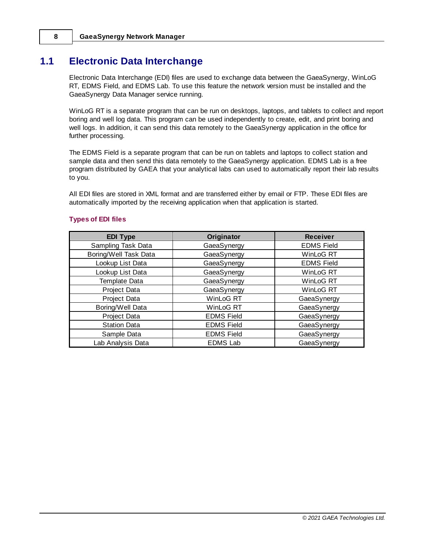## <span id="page-7-0"></span>**1.1 Electronic Data Interchange**

Electronic Data Interchange (EDI) files are used to exchange data between the GaeaSynergy, WinLoG RT, EDMS Field, and EDMS Lab. To use this feature the network version must be installed and the GaeaSynergy Data Manager service running.

WinLoG RT is a separate program that can be run on desktops, laptops, and tablets to collect and report boring and well log data. This program can be used independently to create, edit, and print boring and well logs. In addition, it can send this data remotely to the GaeaSynergy application in the office for further processing.

The EDMS Field is a separate program that can be run on tablets and laptops to collect station and sample data and then send this data remotely to the GaeaSynergy application. EDMS Lab is a free program distributed by GAEA that your analytical labs can used to automatically report their lab results to you.

All EDI files are stored in XML format and are transferred either by email or FTP. These EDI files are automatically imported by the receiving application when that application is started.

| <b>Types of EDI files</b> |  |  |
|---------------------------|--|--|
|                           |  |  |

| <b>EDI Type</b>       | Originator        | <b>Receiver</b>   |
|-----------------------|-------------------|-------------------|
| Sampling Task Data    | GaeaSynergy       | <b>EDMS Field</b> |
| Boring/Well Task Data | GaeaSynergy       | WinLoG RT         |
| Lookup List Data      | GaeaSynergy       | <b>EDMS Field</b> |
| Lookup List Data      | GaeaSynergy       | WinLoG RT         |
| Template Data         | GaeaSynergy       | WinLoG RT         |
| Project Data          | GaeaSynergy       | WinLoG RT         |
| Project Data          | WinLoG RT         | GaeaSynergy       |
| Boring/Well Data      | WinLoG RT         | GaeaSynergy       |
| Project Data          | <b>EDMS Field</b> | GaeaSynergy       |
| <b>Station Data</b>   | <b>EDMS Field</b> | GaeaSynergy       |
| Sample Data           | <b>EDMS Field</b> | GaeaSynergy       |
| Lab Analysis Data     | <b>EDMS Lab</b>   | GaeaSynergy       |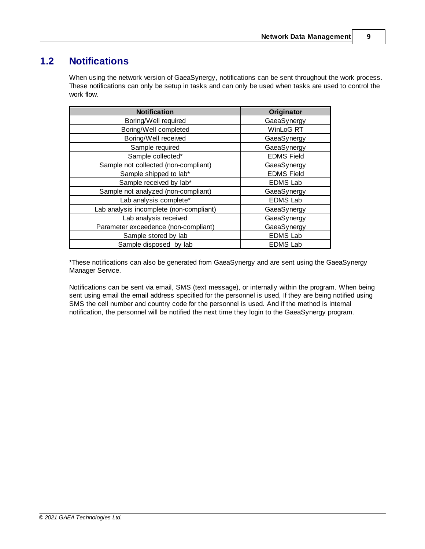## <span id="page-8-0"></span>**1.2 Notifications**

When using the network version of GaeaSynergy, notifications can be sent throughout the work process. These notifications can only be setup in tasks and can only be used when tasks are used to control the work flow.

| <b>Notification</b>                     | Originator        |
|-----------------------------------------|-------------------|
| Boring/Well required                    | GaeaSynergy       |
| Boring/Well completed                   | WinLoG RT         |
| Boring/Well received                    | GaeaSynergy       |
| Sample required                         | GaeaSynergy       |
| Sample collected*                       | <b>EDMS Field</b> |
| Sample not collected (non-compliant)    | GaeaSynergy       |
| Sample shipped to lab*                  | <b>EDMS Field</b> |
| Sample received by lab*                 | <b>EDMS Lab</b>   |
| Sample not analyzed (non-compliant)     | GaeaSynergy       |
| Lab analysis complete*                  | <b>EDMS Lab</b>   |
| Lab analysis incomplete (non-compliant) | GaeaSynergy       |
| Lab analysis received                   | GaeaSynergy       |
| Parameter exceedence (non-compliant)    | GaeaSynergy       |
| Sample stored by lab                    | <b>EDMS Lab</b>   |
| Sample disposed by lab                  | <b>EDMS Lab</b>   |

\*These notifications can also be generated from GaeaSynergy and are sent using the GaeaSynergy Manager Service.

Notifications can be sent via email, SMS (text message), or internally within the program. When being sent using email the email address specified for the personnel is used, If they are being notified using SMS the cell number and country code for the personnel is used. And if the method is internal notification, the personnel will be notified the next time they login to the GaeaSynergy program.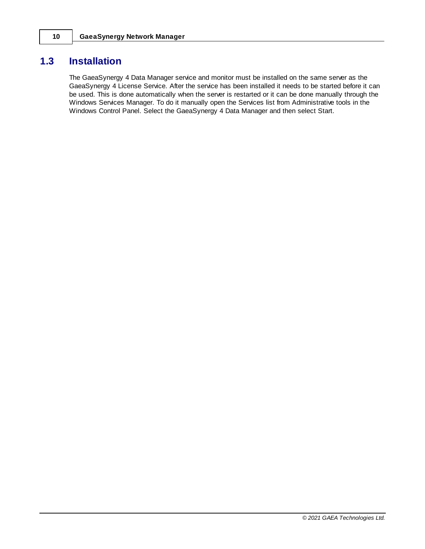## <span id="page-9-0"></span>**1.3 Installation**

The GaeaSynergy 4 Data Manager service and monitor must be installed on the same server as the GaeaSynergy 4 License Service. After the service has been installed it needs to be started before it can be used. This is done automatically when the server is restarted or it can be done manually through the Windows Services Manager. To do it manually open the Services list from Administrative tools in the Windows Control Panel. Select the GaeaSynergy 4 Data Manager and then select Start.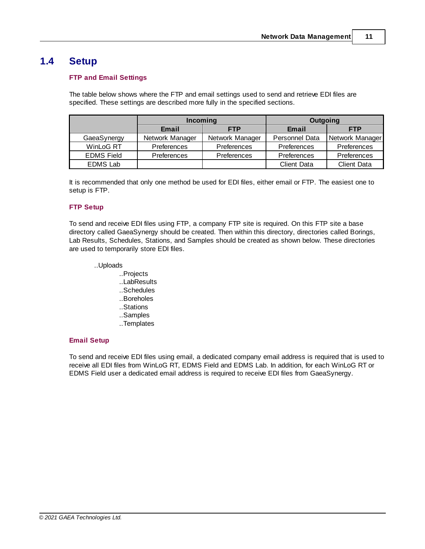## <span id="page-10-0"></span>**1.4 Setup**

#### **FTP and Email Settings**

The table below shows where the FTP and email settings used to send and retrieve EDI files are specified. These settings are described more fully in the specified sections.

|                   | Incoming            |                    | Outgoing           |                    |
|-------------------|---------------------|--------------------|--------------------|--------------------|
|                   | Email<br><b>FTP</b> |                    | Email              | <b>FTP</b>         |
| GaeaSynergy       | Network Manager     | Network Manager    | Personnel Data     | Network Manager    |
| WinLoG RT         | <b>Preferences</b>  | <b>Preferences</b> | <b>Preferences</b> | <b>Preferences</b> |
| <b>EDMS Field</b> | Preferences         | <b>Preferences</b> | Preferences        | Preferences        |
| <b>EDMS Lab</b>   |                     |                    | <b>Client Data</b> | <b>Client Data</b> |

It is recommended that only one method be used for EDI files, either email or FTP. The easiest one to setup is FTP.

#### **FTP Setup**

To send and receive EDI files using FTP, a company FTP site is required. On this FTP site a base directory called GaeaSynergy should be created. Then within this directory, directories called Borings, Lab Results, Schedules, Stations, and Samples should be created as shown below. These directories are used to temporarily store EDI files.

#### ..Uploads

- ..Projects
- ..LabResults
- ..Schedules
- ..Boreholes
- ..Stations
- ..Samples
- ..Templates

#### **Email Setup**

To send and receive EDI files using email, a dedicated company email address is required that is used to receive all EDI files from WinLoG RT, EDMS Field and EDMS Lab. In addition, for each WinLoG RT or EDMS Field user a dedicated email address is required to receive EDI files from GaeaSynergy.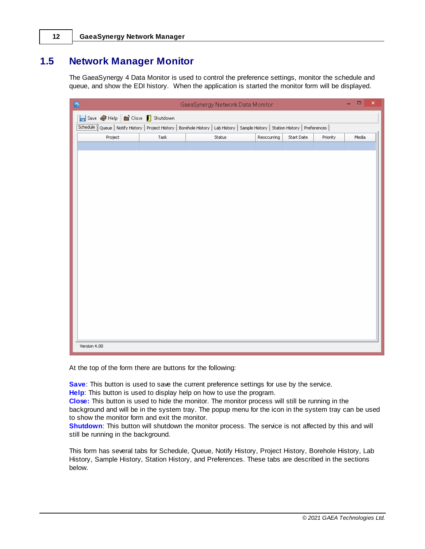## <span id="page-11-0"></span>**1.5 Network Manager Monitor**

The GaeaSynergy 4 Data Monitor is used to control the preference settings, monitor the schedule and queue, and show the EDI history. When the application is started the monitor form will be displayed.

| 圈                              |      | GaeaSynergy Network Data Monitor                                                                                                      |             |            |          | $\Box$<br>۳ | $\pmb{\times}$ |
|--------------------------------|------|---------------------------------------------------------------------------------------------------------------------------------------|-------------|------------|----------|-------------|----------------|
| Save Help   a Close   Shutdown |      |                                                                                                                                       |             |            |          |             |                |
|                                |      | Schedule   Queue   Notify History   Project History   Borehole History   Lab History   Sample History   Station History   Preferences |             |            |          |             |                |
| Project                        | Task | Status                                                                                                                                | Reoccurring | Start Date | Priority | Media       |                |
|                                |      |                                                                                                                                       |             |            |          |             |                |
|                                |      |                                                                                                                                       |             |            |          |             |                |
|                                |      |                                                                                                                                       |             |            |          |             |                |
|                                |      |                                                                                                                                       |             |            |          |             |                |
|                                |      |                                                                                                                                       |             |            |          |             |                |
|                                |      |                                                                                                                                       |             |            |          |             |                |
|                                |      |                                                                                                                                       |             |            |          |             |                |
|                                |      |                                                                                                                                       |             |            |          |             |                |
|                                |      |                                                                                                                                       |             |            |          |             |                |
|                                |      |                                                                                                                                       |             |            |          |             |                |
|                                |      |                                                                                                                                       |             |            |          |             |                |
|                                |      |                                                                                                                                       |             |            |          |             |                |
|                                |      |                                                                                                                                       |             |            |          |             |                |
|                                |      |                                                                                                                                       |             |            |          |             |                |
|                                |      |                                                                                                                                       |             |            |          |             |                |
|                                |      |                                                                                                                                       |             |            |          |             |                |
|                                |      |                                                                                                                                       |             |            |          |             |                |
|                                |      |                                                                                                                                       |             |            |          |             |                |
| Version 4.00                   |      |                                                                                                                                       |             |            |          |             |                |

At the top of the form there are buttons for the following:

**Save**: This button is used to save the current preference settings for use by the service.

**Help**: This button is used to display help on how to use the program.

**Close:** This button is used to hide the monitor. The monitor process will still be running in the background and will be in the system tray. The popup menu for the icon in the system tray can be used to show the monitor form and exit the monitor.

**Shutdown:** This button will shutdown the monitor process. The service is not affected by this and will still be running in the background.

This form has several tabs for Schedule, Queue, Notify History, Project History, Borehole History, Lab History, Sample History, Station History, and Preferences. These tabs are described in the sections below.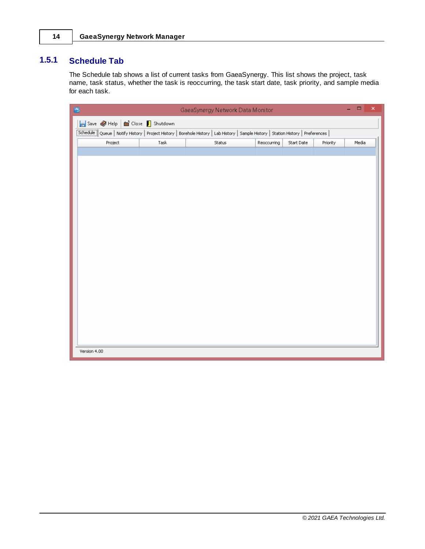### <span id="page-13-0"></span>**1.5.1 Schedule Tab**

The Schedule tab shows a list of current tasks from GaeaSynergy. This list shows the project, task name, task status, whether the task is reoccurring, the task start date, task priority, and sample media for each task.

| 國            |                                | GaeaSynergy Network Data Monitor                                                                                                       |             |            |          | $\Box$ |       | $\pmb{\times}$ |
|--------------|--------------------------------|----------------------------------------------------------------------------------------------------------------------------------------|-------------|------------|----------|--------|-------|----------------|
|              | Save Help   a Close   Shutdown |                                                                                                                                        |             |            |          |        |       |                |
|              |                                | Schedule    Queue   Notify History   Project History   Borehole History   Lab History   Sample History   Station History   Preferences |             |            |          |        |       |                |
| Project      | Task                           | Status                                                                                                                                 | Reoccurring | Start Date | Priority |        | Media |                |
|              |                                |                                                                                                                                        |             |            |          |        |       |                |
|              |                                |                                                                                                                                        |             |            |          |        |       |                |
|              |                                |                                                                                                                                        |             |            |          |        |       |                |
|              |                                |                                                                                                                                        |             |            |          |        |       |                |
|              |                                |                                                                                                                                        |             |            |          |        |       |                |
|              |                                |                                                                                                                                        |             |            |          |        |       |                |
|              |                                |                                                                                                                                        |             |            |          |        |       |                |
|              |                                |                                                                                                                                        |             |            |          |        |       |                |
|              |                                |                                                                                                                                        |             |            |          |        |       |                |
|              |                                |                                                                                                                                        |             |            |          |        |       |                |
|              |                                |                                                                                                                                        |             |            |          |        |       |                |
|              |                                |                                                                                                                                        |             |            |          |        |       |                |
|              |                                |                                                                                                                                        |             |            |          |        |       |                |
|              |                                |                                                                                                                                        |             |            |          |        |       |                |
|              |                                |                                                                                                                                        |             |            |          |        |       |                |
|              |                                |                                                                                                                                        |             |            |          |        |       |                |
|              |                                |                                                                                                                                        |             |            |          |        |       |                |
|              |                                |                                                                                                                                        |             |            |          |        |       |                |
|              |                                |                                                                                                                                        |             |            |          |        |       |                |
| Version 4.00 |                                |                                                                                                                                        |             |            |          |        |       |                |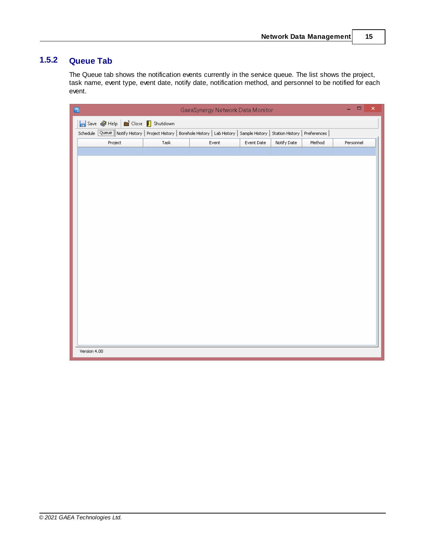### <span id="page-14-0"></span>**1.5.2 Queue Tab**

The Queue tab shows the notification events currently in the service queue. The list shows the project, task name, event type, event date, notify date, notification method, and personnel to be notified for each event.

| 西                                                                                                                                        |      | GaeaSynergy Network Data Monitor |            |             |        |           | $\Box$ | $\boldsymbol{\times}$ |
|------------------------------------------------------------------------------------------------------------------------------------------|------|----------------------------------|------------|-------------|--------|-----------|--------|-----------------------|
| Save Help   tose   Shutdown                                                                                                              |      |                                  |            |             |        |           |        |                       |
| Schedule <b>Queue</b> Notify History   Project History   Borehole History   Lab History   Sample History   Station History   Preferences |      |                                  |            |             |        |           |        |                       |
| Project                                                                                                                                  | Task | Event                            | Event Date | Notify Date | Method | Personnel |        |                       |
|                                                                                                                                          |      |                                  |            |             |        |           |        |                       |
|                                                                                                                                          |      |                                  |            |             |        |           |        |                       |
|                                                                                                                                          |      |                                  |            |             |        |           |        |                       |
|                                                                                                                                          |      |                                  |            |             |        |           |        |                       |
|                                                                                                                                          |      |                                  |            |             |        |           |        |                       |
|                                                                                                                                          |      |                                  |            |             |        |           |        |                       |
|                                                                                                                                          |      |                                  |            |             |        |           |        |                       |
|                                                                                                                                          |      |                                  |            |             |        |           |        |                       |
|                                                                                                                                          |      |                                  |            |             |        |           |        |                       |
|                                                                                                                                          |      |                                  |            |             |        |           |        |                       |
|                                                                                                                                          |      |                                  |            |             |        |           |        |                       |
|                                                                                                                                          |      |                                  |            |             |        |           |        |                       |
|                                                                                                                                          |      |                                  |            |             |        |           |        |                       |
|                                                                                                                                          |      |                                  |            |             |        |           |        |                       |
|                                                                                                                                          |      |                                  |            |             |        |           |        |                       |
|                                                                                                                                          |      |                                  |            |             |        |           |        |                       |
|                                                                                                                                          |      |                                  |            |             |        |           |        |                       |
|                                                                                                                                          |      |                                  |            |             |        |           |        |                       |
|                                                                                                                                          |      |                                  |            |             |        |           |        |                       |
| Version 4.00                                                                                                                             |      |                                  |            |             |        |           |        |                       |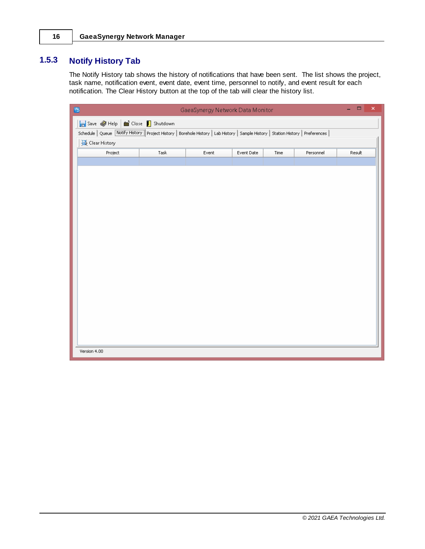## <span id="page-15-0"></span>**1.5.3 Notify History Tab**

The Notify History tab shows the history of notifications that have been sent. The list shows the project, task name, notification event, event date, event time, personnel to notify, and event result for each notification. The Clear History button at the top of the tab will clear the history list.

| Save Help   Close   Shutdown<br>Schedule   Queue   Notify History   Project History   Borehole History   Lab History   Sample History   Station History   Preferences |
|-----------------------------------------------------------------------------------------------------------------------------------------------------------------------|
|                                                                                                                                                                       |
|                                                                                                                                                                       |
| <b>受 Clear History</b>                                                                                                                                                |
| Project<br>Task<br>Personnel<br>Event<br>Event Date<br>Time<br>Result                                                                                                 |
|                                                                                                                                                                       |
|                                                                                                                                                                       |
|                                                                                                                                                                       |
|                                                                                                                                                                       |
|                                                                                                                                                                       |
|                                                                                                                                                                       |
|                                                                                                                                                                       |
|                                                                                                                                                                       |
|                                                                                                                                                                       |
|                                                                                                                                                                       |
|                                                                                                                                                                       |
|                                                                                                                                                                       |
|                                                                                                                                                                       |
|                                                                                                                                                                       |
|                                                                                                                                                                       |
|                                                                                                                                                                       |
|                                                                                                                                                                       |
|                                                                                                                                                                       |
| Version 4.00                                                                                                                                                          |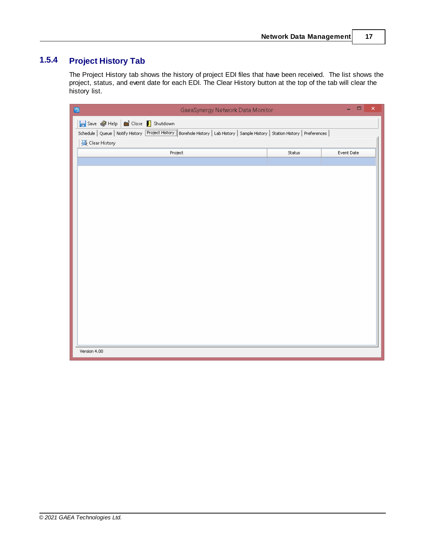## <span id="page-16-0"></span>**1.5.4 Project History Tab**

The Project History tab shows the history of project EDI files that have been received. The list shows the project, status, and event date for each EDI. The Clear History button at the top of the tab will clear the history list.

| 西<br>GaeaSynergy Network Data Monitor                                                                                                 |        | $\Box$<br>$\pmb{\times}$<br>÷. |
|---------------------------------------------------------------------------------------------------------------------------------------|--------|--------------------------------|
| Save Help   in Close   Shutdown                                                                                                       |        |                                |
| Schedule   Queue   Notify History   Project History   Borehole History   Lab History   Sample History   Station History   Preferences |        |                                |
| <b>]</b> Clear History                                                                                                                |        |                                |
| Project                                                                                                                               | Status | Event Date                     |
|                                                                                                                                       |        |                                |
|                                                                                                                                       |        |                                |
|                                                                                                                                       |        |                                |
|                                                                                                                                       |        |                                |
|                                                                                                                                       |        |                                |
|                                                                                                                                       |        |                                |
|                                                                                                                                       |        |                                |
|                                                                                                                                       |        |                                |
|                                                                                                                                       |        |                                |
|                                                                                                                                       |        |                                |
|                                                                                                                                       |        |                                |
|                                                                                                                                       |        |                                |
|                                                                                                                                       |        |                                |
|                                                                                                                                       |        |                                |
|                                                                                                                                       |        |                                |
|                                                                                                                                       |        |                                |
|                                                                                                                                       |        |                                |
|                                                                                                                                       |        |                                |
|                                                                                                                                       |        |                                |
| Version 4.00                                                                                                                          |        |                                |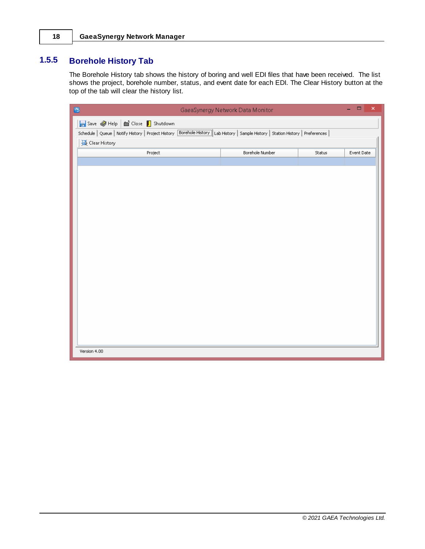## <span id="page-17-0"></span>**1.5.5 Borehole History Tab**

The Borehole History tab shows the history of boring and well EDI files that have been received. The list shows the project, borehole number, status, and event date for each EDI. The Clear History button at the top of the tab will clear the history list.

| 画<br>GaeaSynergy Network Data Monitor                                                                                                 |                 |        |            |  |  |  |  |  |  |
|---------------------------------------------------------------------------------------------------------------------------------------|-----------------|--------|------------|--|--|--|--|--|--|
| Save Help   in Close   Shutdown                                                                                                       |                 |        |            |  |  |  |  |  |  |
| Schedule   Queue   Notify History   Project History   Borehole History   Lab History   Sample History   Station History   Preferences |                 |        |            |  |  |  |  |  |  |
| <b>]</b> Clear History                                                                                                                |                 |        |            |  |  |  |  |  |  |
| Project                                                                                                                               | Borehole Number | Status | Event Date |  |  |  |  |  |  |
|                                                                                                                                       |                 |        |            |  |  |  |  |  |  |
|                                                                                                                                       |                 |        |            |  |  |  |  |  |  |
|                                                                                                                                       |                 |        |            |  |  |  |  |  |  |
|                                                                                                                                       |                 |        |            |  |  |  |  |  |  |
|                                                                                                                                       |                 |        |            |  |  |  |  |  |  |
|                                                                                                                                       |                 |        |            |  |  |  |  |  |  |
|                                                                                                                                       |                 |        |            |  |  |  |  |  |  |
|                                                                                                                                       |                 |        |            |  |  |  |  |  |  |
|                                                                                                                                       |                 |        |            |  |  |  |  |  |  |
|                                                                                                                                       |                 |        |            |  |  |  |  |  |  |
|                                                                                                                                       |                 |        |            |  |  |  |  |  |  |
|                                                                                                                                       |                 |        |            |  |  |  |  |  |  |
|                                                                                                                                       |                 |        |            |  |  |  |  |  |  |
|                                                                                                                                       |                 |        |            |  |  |  |  |  |  |
|                                                                                                                                       |                 |        |            |  |  |  |  |  |  |
|                                                                                                                                       |                 |        |            |  |  |  |  |  |  |
|                                                                                                                                       |                 |        |            |  |  |  |  |  |  |
|                                                                                                                                       |                 |        |            |  |  |  |  |  |  |
| Version 4.00                                                                                                                          |                 |        |            |  |  |  |  |  |  |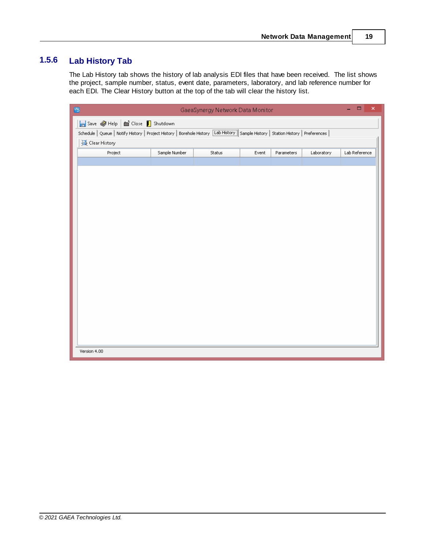## <span id="page-18-0"></span>**1.5.6 Lab History Tab**

The Lab History tab shows the history of lab analysis EDI files that have been received. The list shows the project, sample number, status, event date, parameters, laboratory, and lab reference number for each EDI. The Clear History button at the top of the tab will clear the history list.

| 圈                                                                                                                                     | GaeaSynergy Network Data Monitor |        |       |            |            | $\Box$        | $\pmb{\times}$ |
|---------------------------------------------------------------------------------------------------------------------------------------|----------------------------------|--------|-------|------------|------------|---------------|----------------|
|                                                                                                                                       | Save Help   tose   Shutdown      |        |       |            |            |               |                |
| Schedule   Queue   Notify History   Project History   Borehole History   Lab History   Sample History   Station History   Preferences |                                  |        |       |            |            |               |                |
| <b>]</b> Clear History                                                                                                                |                                  |        |       |            |            |               |                |
| Project                                                                                                                               | Sample Number                    | Status | Event | Parameters | Laboratory | Lab Reference |                |
|                                                                                                                                       |                                  |        |       |            |            |               |                |
|                                                                                                                                       |                                  |        |       |            |            |               |                |
|                                                                                                                                       |                                  |        |       |            |            |               |                |
|                                                                                                                                       |                                  |        |       |            |            |               |                |
|                                                                                                                                       |                                  |        |       |            |            |               |                |
|                                                                                                                                       |                                  |        |       |            |            |               |                |
|                                                                                                                                       |                                  |        |       |            |            |               |                |
|                                                                                                                                       |                                  |        |       |            |            |               |                |
|                                                                                                                                       |                                  |        |       |            |            |               |                |
|                                                                                                                                       |                                  |        |       |            |            |               |                |
|                                                                                                                                       |                                  |        |       |            |            |               |                |
|                                                                                                                                       |                                  |        |       |            |            |               |                |
|                                                                                                                                       |                                  |        |       |            |            |               |                |
|                                                                                                                                       |                                  |        |       |            |            |               |                |
|                                                                                                                                       |                                  |        |       |            |            |               |                |
|                                                                                                                                       |                                  |        |       |            |            |               |                |
|                                                                                                                                       |                                  |        |       |            |            |               |                |
|                                                                                                                                       |                                  |        |       |            |            |               |                |
| Version 4.00                                                                                                                          |                                  |        |       |            |            |               |                |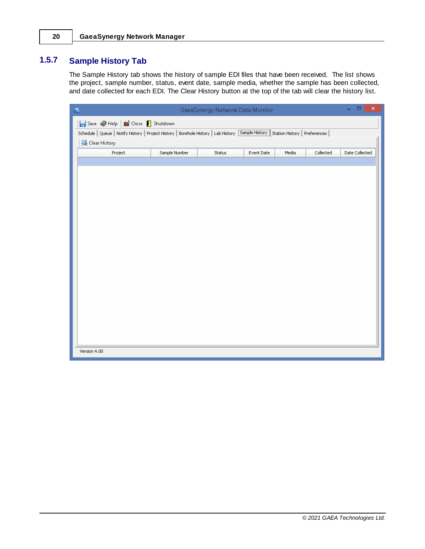## <span id="page-19-0"></span>**1.5.7 Sample History Tab**

The Sample History tab shows the history of sample EDI files that have been received. The list shows the project, sample number, status, event date, sample media, whether the sample has been collected, and date collected for each EDI. The Clear History button at the top of the tab will clear the history list.

| 西<br>GaeaSynergy Network Data Monitor                                                                                                 |               |        |            |       |           | $\pmb{\times}$<br>$\Box$ |  |
|---------------------------------------------------------------------------------------------------------------------------------------|---------------|--------|------------|-------|-----------|--------------------------|--|
| Save Help   tose   Shutdown                                                                                                           |               |        |            |       |           |                          |  |
| Schedule   Queue   Notify History   Project History   Borehole History   Lab History   Sample History   Station History   Preferences |               |        |            |       |           |                          |  |
| <b>]</b> Clear History                                                                                                                |               |        |            |       |           |                          |  |
| Project                                                                                                                               | Sample Number | Status | Event Date | Media | Collected | Date Collected           |  |
|                                                                                                                                       |               |        |            |       |           |                          |  |
|                                                                                                                                       |               |        |            |       |           |                          |  |
|                                                                                                                                       |               |        |            |       |           |                          |  |
|                                                                                                                                       |               |        |            |       |           |                          |  |
|                                                                                                                                       |               |        |            |       |           |                          |  |
|                                                                                                                                       |               |        |            |       |           |                          |  |
|                                                                                                                                       |               |        |            |       |           |                          |  |
|                                                                                                                                       |               |        |            |       |           |                          |  |
|                                                                                                                                       |               |        |            |       |           |                          |  |
|                                                                                                                                       |               |        |            |       |           |                          |  |
|                                                                                                                                       |               |        |            |       |           |                          |  |
|                                                                                                                                       |               |        |            |       |           |                          |  |
|                                                                                                                                       |               |        |            |       |           |                          |  |
|                                                                                                                                       |               |        |            |       |           |                          |  |
|                                                                                                                                       |               |        |            |       |           |                          |  |
|                                                                                                                                       |               |        |            |       |           |                          |  |
|                                                                                                                                       |               |        |            |       |           |                          |  |
|                                                                                                                                       |               |        |            |       |           |                          |  |
| Version 4.00                                                                                                                          |               |        |            |       |           |                          |  |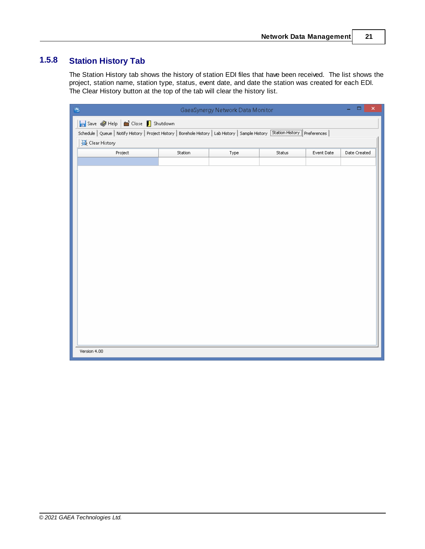## <span id="page-20-0"></span>**1.5.8 Station History Tab**

The Station History tab shows the history of station EDI files that have been received. The list shows the project, station name, station type, status, event date, and date the station was created for each EDI. The Clear History button at the top of the tab will clear the history list.

| ۰<br>GaeaSynergy Network Data Monitor<br>西                                                                                            |         |      |        |            |              |  |  |  |
|---------------------------------------------------------------------------------------------------------------------------------------|---------|------|--------|------------|--------------|--|--|--|
| Save Help   a Close   Shutdown                                                                                                        |         |      |        |            |              |  |  |  |
| Schedule   Queue   Notify History   Project History   Borehole History   Lab History   Sample History   Station History   Preferences |         |      |        |            |              |  |  |  |
| <b></b> Clear History                                                                                                                 |         |      |        |            |              |  |  |  |
| Project                                                                                                                               | Station | Type | Status | Event Date | Date Created |  |  |  |
|                                                                                                                                       |         |      |        |            |              |  |  |  |
|                                                                                                                                       |         |      |        |            |              |  |  |  |
|                                                                                                                                       |         |      |        |            |              |  |  |  |
|                                                                                                                                       |         |      |        |            |              |  |  |  |
|                                                                                                                                       |         |      |        |            |              |  |  |  |
|                                                                                                                                       |         |      |        |            |              |  |  |  |
|                                                                                                                                       |         |      |        |            |              |  |  |  |
|                                                                                                                                       |         |      |        |            |              |  |  |  |
|                                                                                                                                       |         |      |        |            |              |  |  |  |
|                                                                                                                                       |         |      |        |            |              |  |  |  |
|                                                                                                                                       |         |      |        |            |              |  |  |  |
|                                                                                                                                       |         |      |        |            |              |  |  |  |
|                                                                                                                                       |         |      |        |            |              |  |  |  |
|                                                                                                                                       |         |      |        |            |              |  |  |  |
|                                                                                                                                       |         |      |        |            |              |  |  |  |
|                                                                                                                                       |         |      |        |            |              |  |  |  |
|                                                                                                                                       |         |      |        |            |              |  |  |  |
|                                                                                                                                       |         |      |        |            |              |  |  |  |
|                                                                                                                                       |         |      |        |            |              |  |  |  |
| Version 4.00                                                                                                                          |         |      |        |            |              |  |  |  |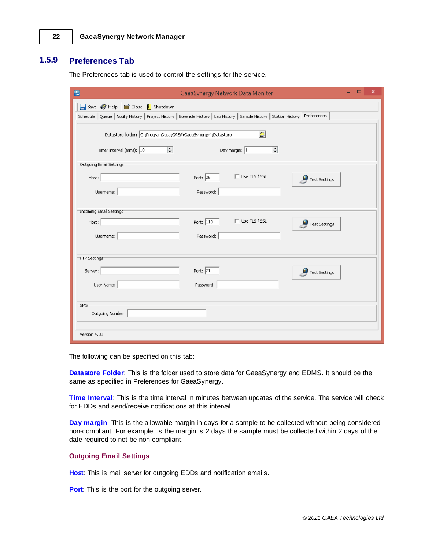### <span id="page-21-0"></span>**1.5.9 Preferences Tab**

The Preferences tab is used to control the settings for the service.

| $\Box$<br>×<br>陽<br>GaeaSynergy Network Data Monitor                                                                                                                  |
|-----------------------------------------------------------------------------------------------------------------------------------------------------------------------|
| Save Help   Close   Shutdown<br>Schedule   Queue   Notify History   Project History   Borehole History   Lab History   Sample History   Station History   Preferences |
| $\circledcirc$<br>Datastore folder: C:\ProgramData\GAEA\GaeaSynergy4\Datastore                                                                                        |
| H<br>$\overline{\phantom{a}}$<br>Timer interval (mins): 10<br>Day margin: 1                                                                                           |
| Outgoing Email Settings:                                                                                                                                              |
| $\Box$ Use TLS / SSL<br>Port: $\boxed{26}$<br>Host:<br>Test Settings                                                                                                  |
| Password:<br>Username:                                                                                                                                                |
| Incoming Email Settings <sup>.</sup>                                                                                                                                  |
| $\Box$ Use TLS / SSL<br>Port: $\boxed{110}$<br>Host:<br>Test Settings                                                                                                 |
| Username:<br>Password:                                                                                                                                                |
| FTP Settings                                                                                                                                                          |
| Port: $\boxed{21}$<br>Server:<br>Test Settings                                                                                                                        |
| User Name:<br>Password:                                                                                                                                               |
| SMS-                                                                                                                                                                  |
| Outgoing Number:                                                                                                                                                      |
| Version 4.00                                                                                                                                                          |

The following can be specified on this tab:

**Datastore Folder**: This is the folder used to store data for GaeaSynergy and EDMS. It should be the same as specified in Preferences for GaeaSynergy.

**Time Interval**: This is the time interval in minutes between updates of the service. The service will check for EDDs and send/receive notifications at this interval.

**Day margin**: This is the allowable margin in days for a sample to be collected without being considered non-compliant. For example, is the margin is 2 days the sample must be collected within 2 days of the date required to not be non-compliant.

#### **Outgoing Email Settings**

**Host**: This is mail server for outgoing EDDs and notification emails.

**Port:** This is the port for the outgoing server.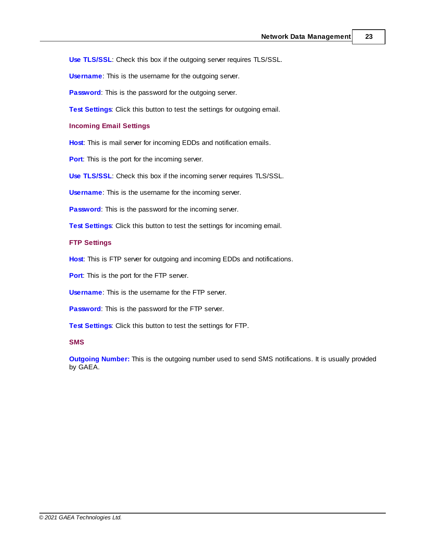**Use TLS/SSL**: Check this box if the outgoing server requires TLS/SSL.

**Username**: This is the username for the outgoing server.

**Password:** This is the password for the outgoing server.

**Test Settings**: Click this button to test the settings for outgoing email.

**Incoming Email Settings**

**Host**: This is mail server for incoming EDDs and notification emails.

**Port:** This is the port for the incoming server.

**Use TLS/SSL**: Check this box if the incoming server requires TLS/SSL.

**Username**: This is the username for the incoming server.

**Password:** This is the password for the incoming server.

**Test Settings**: Click this button to test the settings for incoming email.

#### **FTP Settings**

**Host**: This is FTP server for outgoing and incoming EDDs and notifications.

**Port**: This is the port for the FTP server.

**Username**: This is the username for the FTP server.

**Password**: This is the password for the FTP server.

**Test Settings**: Click this button to test the settings for FTP.

#### **SMS**

**Outgoing Number:** This is the outgoing number used to send SMS notifications. It is usually provided by GAEA.